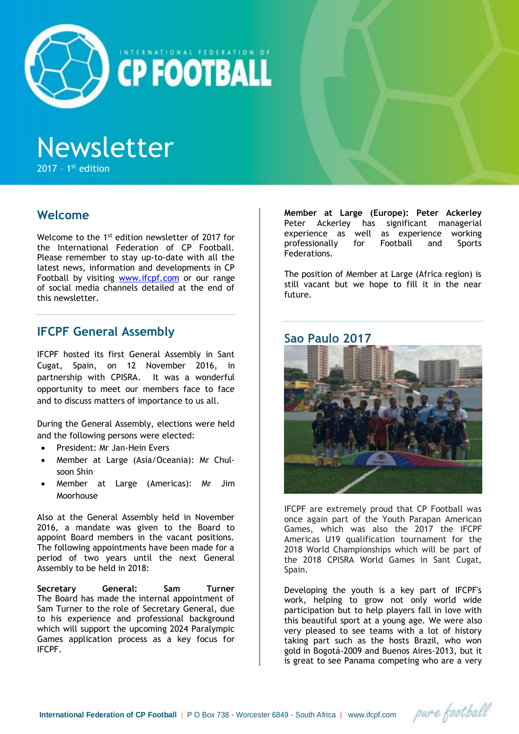

NTERNATIONAL FEDERATION OF **CP FOOTBALL** 

# Newsletter

 $2017 - 1<sup>st</sup>$  edition

# **Welcome**

Welcome to the 1<sup>st</sup> edition newsletter of 2017 for the International Federation of CP Football. Please remember to stay up-to-date with all the latest news, information and developments in CP Football by visiting [www.ifcpf.com](http://www.ifcpf.com/) or our range of social media channels detailed at the end of this newsletter.

# **IFCPF General Assembly**

IFCPF hosted its first General Assembly in Sant Cugat, Spain, on 12 November 2016, in partnership with CPISRA. It was a wonderful opportunity to meet our members face to face and to discuss matters of importance to us all.

During the General Assembly, elections were held and the following persons were elected:

- President: Mr Jan-Hein Evers
- Member at Large (Asia/Oceania): Mr Chulsoon Shin
- Member at Large (Americas): Mr Jim Moorhouse

Also at the General Assembly held in November 2016, a mandate was given to the Board to appoint Board members in the vacant positions. The following appointments have been made for a period of two years until the next General Assembly to be held in 2018:

**Secretary General: Sam Turner** The Board has made the internal appointment of Sam Turner to the role of Secretary General, due to his experience and professional background which will support the upcoming 2024 Paralympic Games application process as a key focus for IFCPF.

**Member at Large (Europe): Peter Ackerley** Peter Ackerley has significant managerial experience as well as experience working<br>professionally for Football and Sports professionally for Football and Sports Federations.

The position of Member at Large (Africa region) is still vacant but we hope to fill it in the near future.

### **Sao Paulo 2017**



IFCPF are extremely proud that CP Football was once again part of the Youth Parapan American Games, which was also the 2017 the IFCPF Americas U19 qualification tournament for the 2018 World Championships which will be part of the 2018 CPISRA World Games in Sant Cugat, Spain.

Developing the youth is a key part of IFCPF's work, helping to grow not only world wide participation but to help players fall in love with this beautiful sport at a young age. We were also very pleased to see teams with a lot of history taking part such as the hosts Brazil, who won gold in Bogotá-2009 and Buenos Aires-2013, but it is great to see Panama competing who are a very

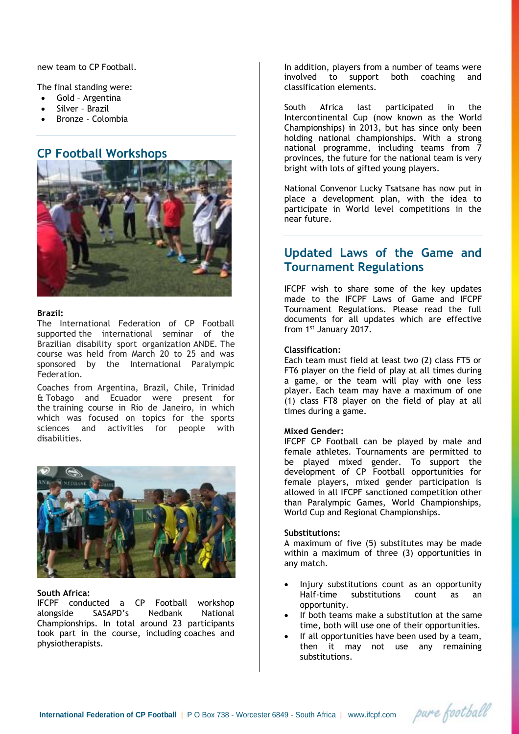new team to CP Football.

The final standing were:

- Gold Argentina
- Silver Brazil
- Bronze Colombia

## **CP Football Workshops**



#### **Brazil:**

The International Federation of CP Football supported the international seminar of the Brazilian disability sport organization ANDE. The course was held from March 20 to 25 and was sponsored by the International Paralympic Federation.

Coaches from Argentina, Brazil, Chile, Trinidad & Tobago and Ecuador were present for the training course in Rio de Janeiro, in which which was focused on topics for the sports sciences and activities for people with disabilities.



#### **South Africa:**

IFCPF conducted a CP Football workshop alongside SASAPD's Nedbank National Championships. In total around 23 participants took part in the course, including coaches and physiotherapists.

In addition, players from a number of teams were involved to support both coaching and classification elements.

South Africa last participated in the Intercontinental Cup (now known as the World Championships) in 2013, but has since only been holding national championships. With a strong national programme, including teams from 7 provinces, the future for the national team is very bright with lots of gifted young players.

National Convenor Lucky Tsatsane has now put in place a development plan, with the idea to participate in World level competitions in the near future.

# **Updated Laws of the Game and Tournament Regulations**

IFCPF wish to share some of the key updates made to the IFCPF Laws of Game and IFCPF Tournament Regulations. Please read the full documents for all updates which are effective from 1st January 2017.

#### **Classification:**

Each team must field at least two (2) class FT5 or FT6 player on the field of play at all times during a game, or the team will play with one less player. Each team may have a maximum of one (1) class FT8 player on the field of play at all times during a game.

#### **Mixed Gender:**

IFCPF CP Football can be played by male and female athletes. Tournaments are permitted to be played mixed gender. To support the development of CP Football opportunities for female players, mixed gender participation is allowed in all IFCPF sanctioned competition other than Paralympic Games, World Championships, World Cup and Regional Championships.

#### **Substitutions:**

A maximum of five (5) substitutes may be made within a maximum of three (3) opportunities in any match.

- Injury substitutions count as an opportunity Half-time substitutions count as an opportunity.
- If both teams make a substitution at the same time, both will use one of their opportunities.
- If all opportunities have been used by a team, then it may not use any remaining substitutions.

pare football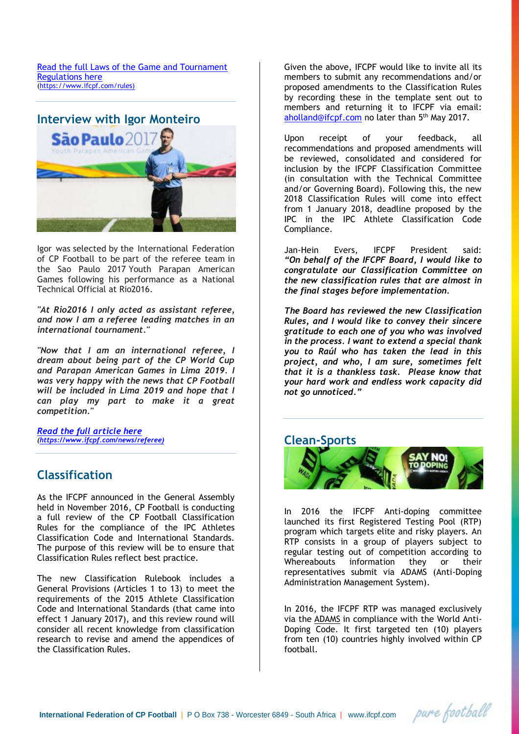[Read the full Laws of the Game and Tournament](https://www.ifcpf.com/rules)  [Regulations here](https://www.ifcpf.com/rules) [\(https://www.ifcpf.com/rules\)](https://www.ifcpf.com/rules))



Igor was selected by the International Federation of CP Football to be part of the referee team in the Sao Paulo 2017 Youth Parapan American Games following his performance as a National Technical Official at Rio2016.

*"At Rio2016 I only acted as assistant referee, and now I am a referee leading matches in an international tournament."*

*"Now that I am an international referee, I dream about being part of the CP World Cup and Parapan American Games in Lima 2019. I was very happy with the news that CP Football will be included in Lima 2019 and hope that I can play my part to make it a great competition."*

*[Read the full article here](https://www.ifcpf.com/news/referee) [\(https://www.ifcpf.com/news/referee\)](https://www.ifcpf.com/news/referee))*

## **Classification**

As the IFCPF announced in the General Assembly held in November 2016, CP Football is conducting a full review of the CP Football Classification Rules for the compliance of the IPC Athletes Classification Code and International Standards. The purpose of this review will be to ensure that Classification Rules reflect best practice.

The new Classification Rulebook includes a General Provisions (Articles 1 to 13) to meet the requirements of the 2015 Athlete Classification Code and International Standards (that came into effect 1 January 2017), and this review round will consider all recent knowledge from classification research to revise and amend the appendices of the Classification Rules.

Given the above, IFCPF would like to invite all its members to submit any recommendations and/or proposed amendments to the Classification Rules by recording these in the template sent out to members and returning it to IFCPF via email: [aholland@ifcpf.com](mailto:aholland@ifcpf.com) no later than 5<sup>th</sup> May 2017.

Upon receipt of your feedback, all recommendations and proposed amendments will be reviewed, consolidated and considered for inclusion by the IFCPF Classification Committee (in consultation with the Technical Committee and/or Governing Board). Following this, the new 2018 Classification Rules will come into effect from 1 January 2018, deadline proposed by the IPC in the IPC Athlete Classification Code Compliance.

Jan-Hein Evers, IFCPF President said: *"On behalf of the IFCPF Board, I would like to congratulate our Classification Committee on the new classification rules that are almost in the final stages before implementation.* 

*The Board has reviewed the new Classification Rules, and I would like to convey their sincere gratitude to each one of you who was involved in the process. I want to extend a special thank you to Raúl who has taken the lead in this project, and who, I am sure, sometimes felt that it is a thankless task. Please know that your hard work and endless work capacity did not go unnoticed."*

#### **Clean-Sports**



In 2016 the IFCPF Anti-doping committee launched its first Registered Testing Pool (RTP) program which targets elite and risky players. An RTP consists in a group of players subject to regular testing out of competition according to Whereabouts information they or their representatives submit via ADAMS (Anti-Doping Administration Management System).

In 2016, the IFCPF RTP was managed exclusively via the [ADAMS](https://www.wada-ama.org/en/adams) in compliance with the World Anti-Doping Code. It first targeted ten (10) players from ten (10) countries highly involved within CP football.

pare football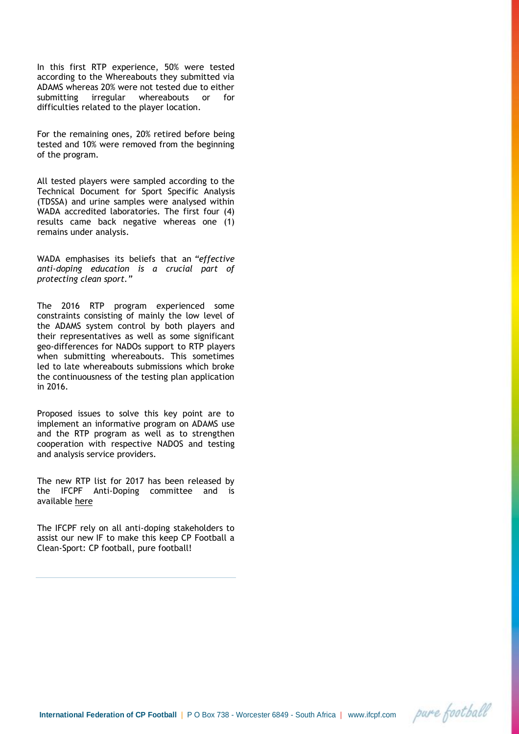In this first RTP experience, 50% were tested according to the Whereabouts they submitted via ADAMS whereas 20% were not tested due to either submitting irregular whereabouts or for difficulties related to the player location.

For the remaining ones, 20% retired before being tested and 10% were removed from the beginning of the program.

All tested players were sampled according to the Technical Document for Sport Specific Analysis (TDSSA) and urine samples were analysed within WADA accredited laboratories. The first four (4) results came back negative whereas one (1) remains under analysis.

WADA emphasises its beliefs that an *"effective anti-doping education is a crucial part of protecting clean sport."*

The 2016 RTP program experienced some constraints consisting of mainly the low level of the ADAMS system control by both players and their representatives as well as some significant geo-differences for NADOs support to RTP players when submitting whereabouts. This sometimes led to late whereabouts submissions which broke the continuousness of the testing plan application in 2016.

Proposed issues to solve this key point are to implement an informative program on ADAMS use and the RTP program as well as to strengthen cooperation with respective NADOS and testing and analysis service providers.

The new RTP list for 2017 has been released by the IFCPF Anti-Doping committee and is available [here](https://www.ifcpf.com/ifcpf-whereabouts-program-2015)

The IFCPF rely on all anti-doping stakeholders to assist our new IF to make this keep CP Football a Clean-Sport: CP football, pure football!